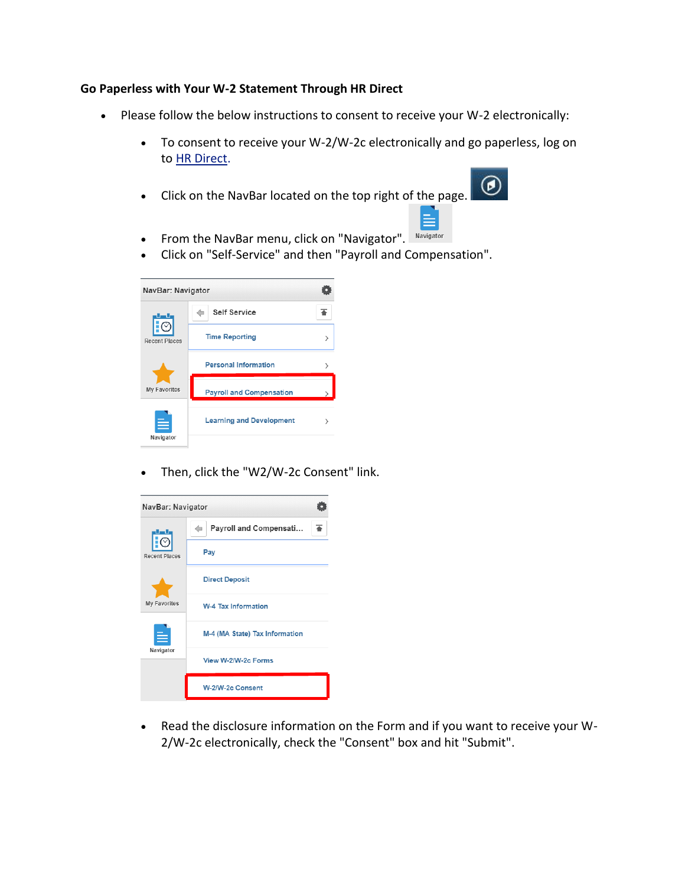## **Go Paperless with Your W-2 Statement Through HR Direct**

- Please follow the below instructions to consent to receive your W-2 electronically:
	- To consent to receive your W-2/W-2c electronically and go paperless, log on to [HR Direct.](https://www.umassmed.edu/hr/hrdirect/)
	- Click on the NavBar located on the top right of the page.



≣

- From the NavBar menu, click on "Navigator". Navigator
- Click on "Self-Service" and then "Payroll and Compensation".

| NavBar: Navigator    |                                 |   |
|----------------------|---------------------------------|---|
| <b>Recent Places</b> | <b>Self Service</b>             |   |
|                      | <b>Time Reporting</b>           | ⋋ |
| <b>My Favorites</b>  | <b>Personal Information</b>     |   |
|                      | <b>Payroll and Compensation</b> |   |
| Navigator            | <b>Learning and Development</b> |   |

Then, click the "W2/W-2c Consent" link.



 Read the disclosure information on the Form and if you want to receive your W-2/W-2c electronically, check the "Consent" box and hit "Submit".